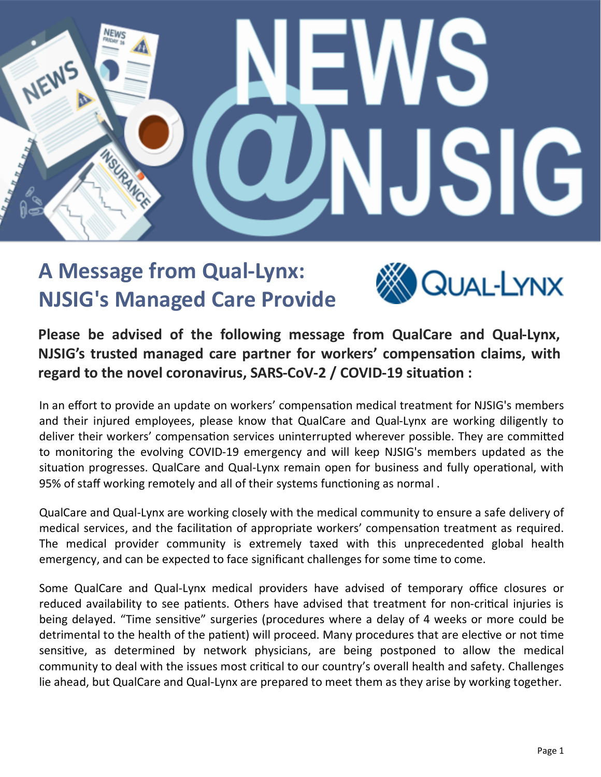

## **A Message from Qual-Lynx: NJSIG's Managed Care Provide**



**Please be advised of the following message from QualCare and Qual-Lynx, NJSIG's trusted managed care partner for workers' compensation claims, with regard to the novel coronavirus, SARS-CoV-2 / COVID-19 situation :**

In an effort to provide an update on workers' compensation medical treatment for NJSIG's members and their injured employees, please know that QualCare and Qual-Lynx are working diligently to deliver their workers' compensation services uninterrupted wherever possible. They are committed to monitoring the evolving COVID-19 emergency and will keep NJSIG's members updated as the situation progresses. QualCare and Qual-Lynx remain open for business and fully operational, with 95% of staff working remotely and all of their systems functioning as normal .

QualCare and Qual-Lynx are working closely with the medical community to ensure a safe delivery of medical services, and the facilitation of appropriate workers' compensation treatment as required. The medical provider community is extremely taxed with this unprecedented global health emergency, and can be expected to face significant challenges for some time to come.

Some QualCare and Qual-Lynx medical providers have advised of temporary office closures or reduced availability to see patients. Others have advised that treatment for non-critical injuries is being delayed. "Time sensitive" surgeries (procedures where a delay of 4 weeks or more could be detrimental to the health of the patient) will proceed. Many procedures that are elective or not time sensitive, as determined by network physicians, are being postponed to allow the medical community to deal with the issues most critical to our country's overall health and safety. Challenges lie ahead, but QualCare and Qual-Lynx are prepared to meet them as they arise by working together.